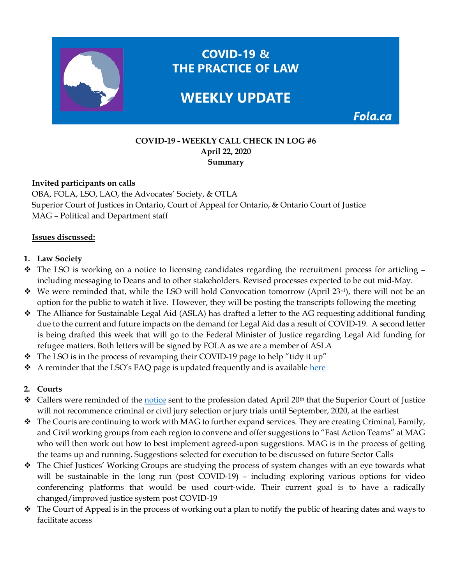

#### **COVID-19 - WEEKLY CALL CHECK IN LOG #6 April 22, 2020 Summary**

### **Invited participants on calls**

OBA, FOLA, LSO, LAO, the Advocates' Society, & OTLA Superior Court of Justices in Ontario, Court of Appeal for Ontario, & Ontario Court of Justice MAG – Political and Department staff

#### **Issues discussed:**

### **1. Law Society**

- The LSO is working on a notice to licensing candidates regarding the recruitment process for articling including messaging to Deans and to other stakeholders. Revised processes expected to be out mid-May.
- $\bullet$  We were reminded that, while the LSO will hold Convocation tomorrow (April 23<sup>rd</sup>), there will not be an option for the public to watch it live. However, they will be posting the transcripts following the meeting
- The Alliance for Sustainable Legal Aid (ASLA) has drafted a letter to the AG requesting additional funding due to the current and future impacts on the demand for Legal Aid das a result of COVID-19. A second letter is being drafted this week that will go to the Federal Minister of Justice regarding Legal Aid funding for refugee matters. Both letters will be signed by FOLA as we are a member of ASLA
- $\div$  The LSO is in the process of revamping their COVID-19 page to help "tidy it up"
- A reminder that the LSO's FAQ page is updated frequently and is available [here](https://lso.ca/news-events/news/corporate-statement-re-covid-19)

## **2. Courts**

- Callers were reminded of the [notice](https://www.ontariocourts.ca/scj/notice-suspension-criminal-and-civil-jury-trials/) sent to the profession dated April 20<sup>th</sup> that the Superior Court of Justice will not recommence criminal or civil jury selection or jury trials until September, 2020, at the earliest
- \* The Courts are continuing to work with MAG to further expand services. They are creating Criminal, Family, and Civil working groups from each region to convene and offer suggestions to "Fast Action Teams" at MAG who will then work out how to best implement agreed-upon suggestions. MAG is in the process of getting the teams up and running. Suggestions selected for execution to be discussed on future Sector Calls
- \* The Chief Justices' Working Groups are studying the process of system changes with an eye towards what will be sustainable in the long run (post COVID-19) – including exploring various options for video conferencing platforms that would be used court-wide. Their current goal is to have a radically changed/improved justice system post COVID-19
- The Court of Appeal is in the process of working out a plan to notify the public of hearing dates and ways to facilitate access